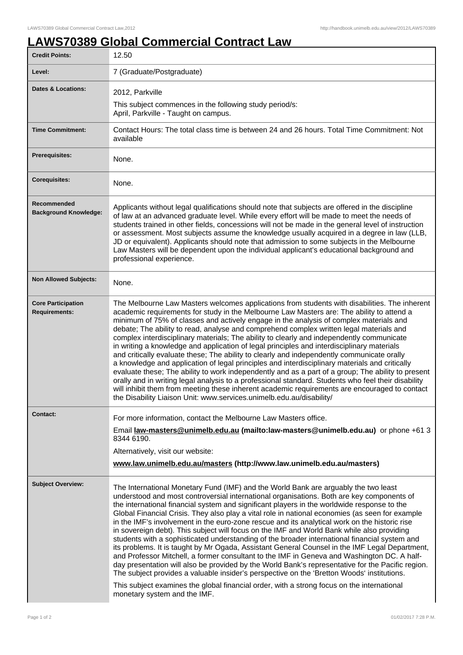## **LAWS70389 Global Commercial Contract Law**

| <b>Credit Points:</b>                             | 12.50                                                                                                                                                                                                                                                                                                                                                                                                                                                                                                                                                                                                                                                                                                                                                                                                                                                                                                                                                                                                                                                                                                                                                                                                                |
|---------------------------------------------------|----------------------------------------------------------------------------------------------------------------------------------------------------------------------------------------------------------------------------------------------------------------------------------------------------------------------------------------------------------------------------------------------------------------------------------------------------------------------------------------------------------------------------------------------------------------------------------------------------------------------------------------------------------------------------------------------------------------------------------------------------------------------------------------------------------------------------------------------------------------------------------------------------------------------------------------------------------------------------------------------------------------------------------------------------------------------------------------------------------------------------------------------------------------------------------------------------------------------|
| Level:                                            | 7 (Graduate/Postgraduate)                                                                                                                                                                                                                                                                                                                                                                                                                                                                                                                                                                                                                                                                                                                                                                                                                                                                                                                                                                                                                                                                                                                                                                                            |
| <b>Dates &amp; Locations:</b>                     | 2012, Parkville                                                                                                                                                                                                                                                                                                                                                                                                                                                                                                                                                                                                                                                                                                                                                                                                                                                                                                                                                                                                                                                                                                                                                                                                      |
|                                                   | This subject commences in the following study period/s:<br>April, Parkville - Taught on campus.                                                                                                                                                                                                                                                                                                                                                                                                                                                                                                                                                                                                                                                                                                                                                                                                                                                                                                                                                                                                                                                                                                                      |
| <b>Time Commitment:</b>                           | Contact Hours: The total class time is between 24 and 26 hours. Total Time Commitment: Not<br>available                                                                                                                                                                                                                                                                                                                                                                                                                                                                                                                                                                                                                                                                                                                                                                                                                                                                                                                                                                                                                                                                                                              |
| <b>Prerequisites:</b>                             | None.                                                                                                                                                                                                                                                                                                                                                                                                                                                                                                                                                                                                                                                                                                                                                                                                                                                                                                                                                                                                                                                                                                                                                                                                                |
| <b>Corequisites:</b>                              | None.                                                                                                                                                                                                                                                                                                                                                                                                                                                                                                                                                                                                                                                                                                                                                                                                                                                                                                                                                                                                                                                                                                                                                                                                                |
| Recommended<br><b>Background Knowledge:</b>       | Applicants without legal qualifications should note that subjects are offered in the discipline<br>of law at an advanced graduate level. While every effort will be made to meet the needs of<br>students trained in other fields, concessions will not be made in the general level of instruction<br>or assessment. Most subjects assume the knowledge usually acquired in a degree in law (LLB,<br>JD or equivalent). Applicants should note that admission to some subjects in the Melbourne<br>Law Masters will be dependent upon the individual applicant's educational background and<br>professional experience.                                                                                                                                                                                                                                                                                                                                                                                                                                                                                                                                                                                             |
| <b>Non Allowed Subjects:</b>                      | None.                                                                                                                                                                                                                                                                                                                                                                                                                                                                                                                                                                                                                                                                                                                                                                                                                                                                                                                                                                                                                                                                                                                                                                                                                |
| <b>Core Participation</b><br><b>Requirements:</b> | The Melbourne Law Masters welcomes applications from students with disabilities. The inherent<br>academic requirements for study in the Melbourne Law Masters are: The ability to attend a<br>minimum of 75% of classes and actively engage in the analysis of complex materials and<br>debate; The ability to read, analyse and comprehend complex written legal materials and<br>complex interdisciplinary materials; The ability to clearly and independently communicate<br>in writing a knowledge and application of legal principles and interdisciplinary materials<br>and critically evaluate these; The ability to clearly and independently communicate orally<br>a knowledge and application of legal principles and interdisciplinary materials and critically<br>evaluate these; The ability to work independently and as a part of a group; The ability to present<br>orally and in writing legal analysis to a professional standard. Students who feel their disability<br>will inhibit them from meeting these inherent academic requirements are encouraged to contact<br>the Disability Liaison Unit: www.services.unimelb.edu.au/disability/                                                     |
| <b>Contact:</b>                                   | For more information, contact the Melbourne Law Masters office.                                                                                                                                                                                                                                                                                                                                                                                                                                                                                                                                                                                                                                                                                                                                                                                                                                                                                                                                                                                                                                                                                                                                                      |
|                                                   | Email law-masters@unimelb.edu.au (mailto:law-masters@unimelb.edu.au) or phone +61 3<br>8344 6190.                                                                                                                                                                                                                                                                                                                                                                                                                                                                                                                                                                                                                                                                                                                                                                                                                                                                                                                                                                                                                                                                                                                    |
|                                                   | Alternatively, visit our website:                                                                                                                                                                                                                                                                                                                                                                                                                                                                                                                                                                                                                                                                                                                                                                                                                                                                                                                                                                                                                                                                                                                                                                                    |
|                                                   | www.law.unimelb.edu.au/masters (http://www.law.unimelb.edu.au/masters)                                                                                                                                                                                                                                                                                                                                                                                                                                                                                                                                                                                                                                                                                                                                                                                                                                                                                                                                                                                                                                                                                                                                               |
| <b>Subject Overview:</b>                          | The International Monetary Fund (IMF) and the World Bank are arguably the two least<br>understood and most controversial international organisations. Both are key components of<br>the international financial system and significant players in the worldwide response to the<br>Global Financial Crisis. They also play a vital role in national economies (as seen for example<br>in the IMF's involvement in the euro-zone rescue and its analytical work on the historic rise<br>in sovereign debt). This subject will focus on the IMF and World Bank while also providing<br>students with a sophisticated understanding of the broader international financial system and<br>its problems. It is taught by Mr Ogada, Assistant General Counsel in the IMF Legal Department,<br>and Professor Mitchell, a former consultant to the IMF in Geneva and Washington DC. A half-<br>day presentation will also be provided by the World Bank's representative for the Pacific region.<br>The subject provides a valuable insider's perspective on the 'Bretton Woods' institutions.<br>This subject examines the global financial order, with a strong focus on the international<br>monetary system and the IMF. |